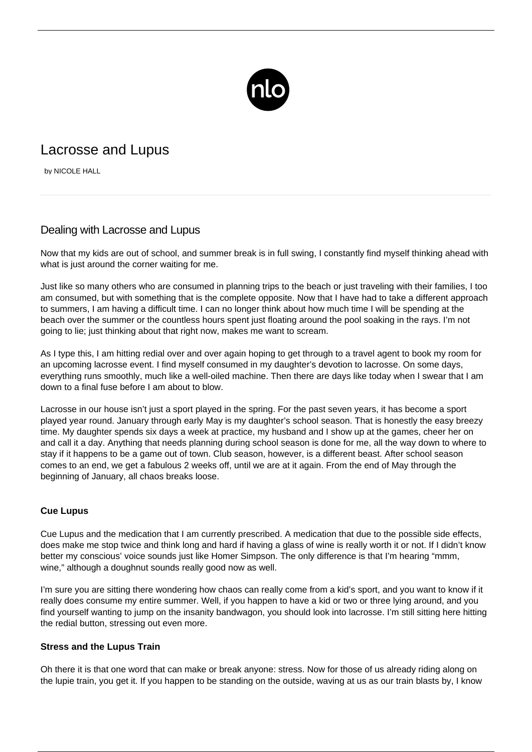

## Lacrosse and Lupus

by NICOLE HALL

## Dealing with Lacrosse and Lupus

Now that my kids are out of school, and summer break is in full swing, I constantly find myself thinking ahead with what is just around the corner waiting for me.

Just like so many others who are consumed in planning trips to the beach or just traveling with their families, I too am consumed, but with something that is the complete opposite. Now that I have had to take a different approach to summers, I am having a difficult time. I can no longer think about how much time I will be spending at the beach over the summer or the countless hours spent just floating around the pool soaking in the rays. I'm not going to lie; just thinking about that right now, makes me want to scream.

As I type this, I am hitting redial over and over again hoping to get through to a travel agent to book my room for an upcoming lacrosse event. I find myself consumed in my daughter's devotion to lacrosse. On some days, everything runs smoothly, much like a well-oiled machine. Then there are days like today when I swear that I am down to a final fuse before I am about to blow.

Lacrosse in our house isn't just a sport played in the spring. For the past seven years, it has become a sport played year round. January through early May is my daughter's school season. That is honestly the easy breezy time. My daughter spends six days a week at practice, my husband and I show up at the games, cheer her on and call it a day. Anything that needs planning during school season is done for me, all the way down to where to stay if it happens to be a game out of town. Club season, however, is a different beast. After school season comes to an end, we get a fabulous 2 weeks off, until we are at it again. From the end of May through the beginning of January, all chaos breaks loose.

## **Cue Lupus**

Cue Lupus and the medication that I am currently prescribed. A medication that due to the possible side effects, does make me stop twice and think long and hard if having a glass of wine is really worth it or not. If I didn't know better my conscious' voice sounds just like Homer Simpson. The only difference is that I'm hearing "mmm, wine," although a doughnut sounds really good now as well.

I'm sure you are sitting there wondering how chaos can really come from a kid's sport, and you want to know if it really does consume my entire summer. Well, if you happen to have a kid or two or three lying around, and you find yourself wanting to jump on the insanity bandwagon, you should look into lacrosse. I'm still sitting here hitting the redial button, stressing out even more.

## **Stress and the Lupus Train**

Oh there it is that one word that can make or break anyone: stress. Now for those of us already riding along on the lupie train, you get it. If you happen to be standing on the outside, waving at us as our train blasts by, I know